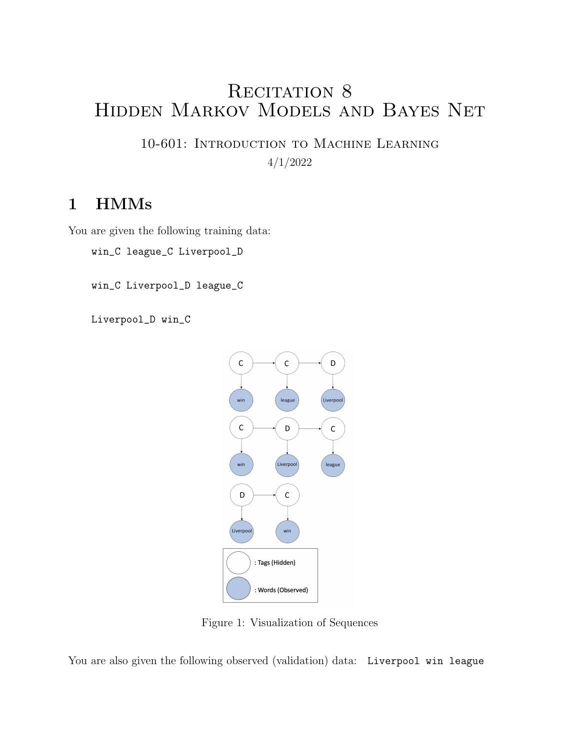# RECITATION 8 Hidden Markov Models and Bayes Net

10-601: Introduction to Machine Learning 4/1/2022

## 1 HMMs

You are given the following training data:

win\_C league\_C Liverpool\_D

win\_C Liverpool\_D league\_C

Liverpool\_D win\_C



Figure 1: Visualization of Sequences

You are also given the following observed (validation) data: Liverpool win league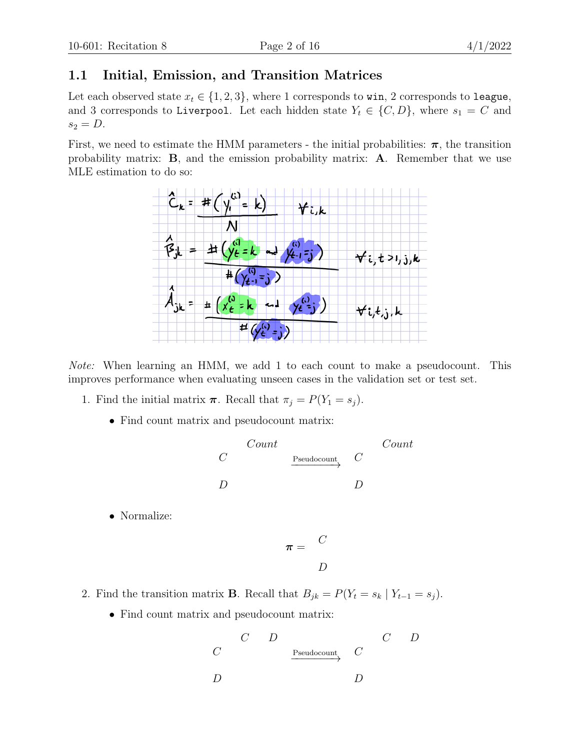### 1.1 Initial, Emission, and Transition Matrices

Let each observed state  $x_t \in \{1, 2, 3\}$ , where 1 corresponds to win, 2 corresponds to league, and 3 corresponds to Liverpool. Let each hidden state  $Y_t \in \{C, D\}$ , where  $s_1 = C$  and  $s_2 = D$ .

First, we need to estimate the HMM parameters - the initial probabilities:  $\pi$ , the transition probability matrix: B, and the emission probability matrix: A. Remember that we use MLE estimation to do so:



Note: When learning an HMM, we add 1 to each count to make a pseudocount. This improves performance when evaluating unseen cases in the validation set or test set.

- 1. Find the initial matrix  $\boldsymbol{\pi}$ . Recall that  $\pi_j = P(Y_1 = s_j)$ .
	- Find count matrix and pseudocount matrix:

$$
\begin{array}{ccc}\nC & \cdots & C & \cdots \\
C & \xrightarrow{\text{Pseudocount}} & C \\
D & D & D\n\end{array}
$$

• Normalize:

$$
\pi = \begin{array}{cc} C \\ D \end{array}
$$

- 2. Find the transition matrix **B**. Recall that  $B_{jk} = P(Y_t = s_k | Y_{t-1} = s_j)$ .
	- Find count matrix and pseudocount matrix:

$$
\begin{array}{ccccccc} & C & D & & & & C & D \\ & & & & & & & \\ C & & & & & & & \\ D & & & & & & & \\ D & & & & & & & \\ \end{array}
$$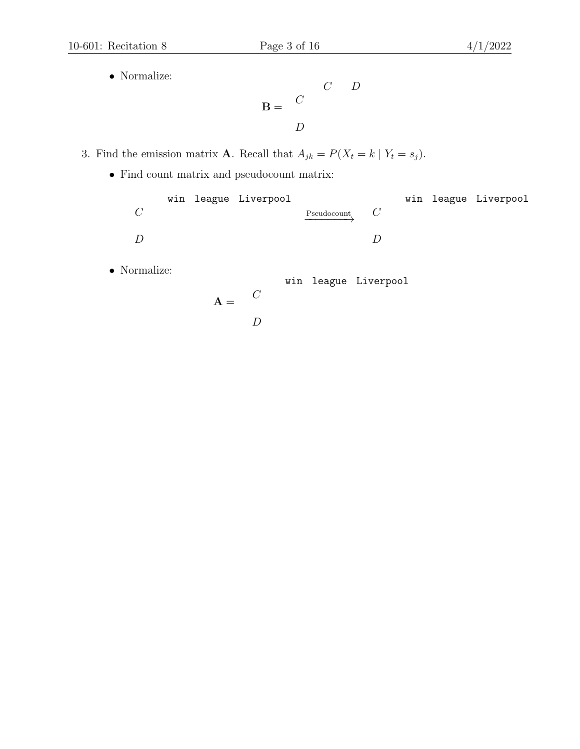• Normalize:

$$
\mathbf{B} = \begin{pmatrix} C \\ C \\ D \end{pmatrix}
$$

- 3. Find the emission matrix **A**. Recall that  $A_{jk} = P(X_t = k | Y_t = s_j)$ .
	- $\bullet\,$  Find count matrix and pseudocount matrix:

|                  |  | win league Liverpool |             |  | win league Liverpool |
|------------------|--|----------------------|-------------|--|----------------------|
| $\mathcal{C}$    |  |                      | Pseudocount |  |                      |
|                  |  |                      |             |  |                      |
| $\left( \right)$ |  |                      |             |  |                      |
|                  |  |                      |             |  |                      |

 $\boldsymbol{D}$ 

• Normalize:

win league Liverpool

$$
\mathbf{A} = \begin{array}{cc} C \\ D \end{array}
$$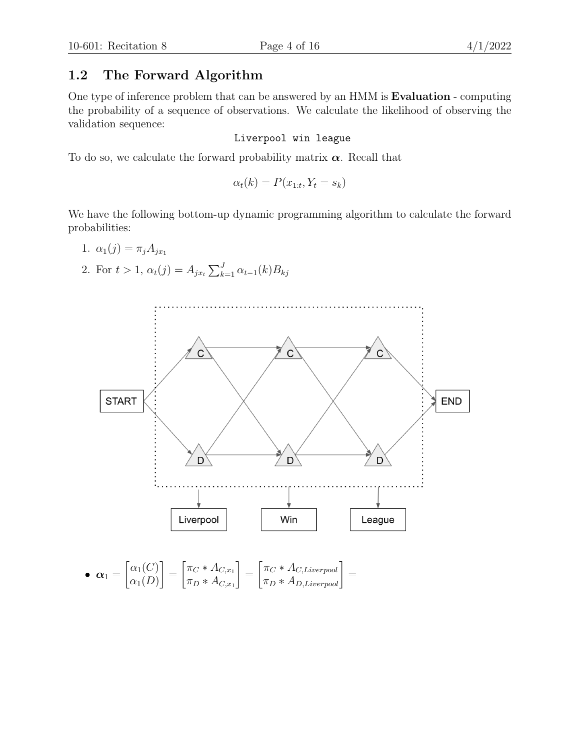### 1.2 The Forward Algorithm

One type of inference problem that can be answered by an HMM is Evaluation - computing the probability of a sequence of observations. We calculate the likelihood of observing the validation sequence:

#### Liverpool win league

To do so, we calculate the forward probability matrix  $\alpha$ . Recall that

$$
\alpha_t(k) = P(x_{1:t}, Y_t = s_k)
$$

We have the following bottom-up dynamic programming algorithm to calculate the forward probabilities:

- 1.  $\alpha_1(j) = \pi_j A_{jx_1}$
- 2. For  $t > 1$ ,  $\alpha_t(j) = A_{jx_t} \sum_{k=1}^{J} \alpha_{t-1}(k) B_{kj}$

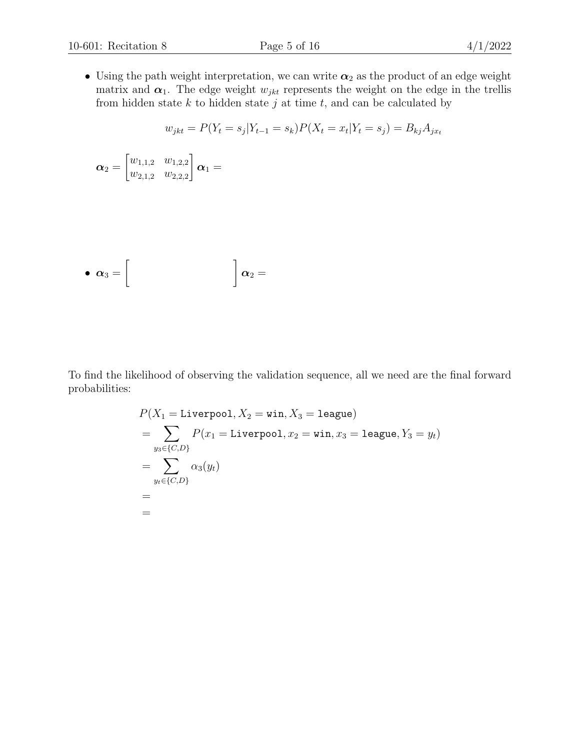• Using the path weight interpretation, we can write  $\alpha_2$  as the product of an edge weight matrix and  $\alpha_1$ . The edge weight  $w_{jkt}$  represents the weight on the edge in the trellis from hidden state  $k$  to hidden state  $j$  at time  $t$ , and can be calculated by

$$
w_{jkt} = P(Y_t = s_j | Y_{t-1} = s_k) P(X_t = x_t | Y_t = s_j) = B_{kj} A_{jx_t}
$$

$$
\boldsymbol{\alpha}_2=\begin{bmatrix}w_{1,1,2} & w_{1,2,2}\\w_{2,1,2} & w_{2,2,2}\end{bmatrix}\boldsymbol{\alpha}_1=
$$

• 
$$
\alpha_3 = \begin{bmatrix} & & \\ & & \end{bmatrix} \alpha_2 =
$$

To find the likelihood of observing the validation sequence, all we need are the final forward probabilities:

$$
P(X_1 = \text{Livepool}, X_2 = \text{win}, X_3 = \text{league})
$$
  
= 
$$
\sum_{y_3 \in \{C, D\}} P(x_1 = \text{Liveproof}, x_2 = \text{win}, x_3 = \text{league}, Y_3 = y_t)
$$
  
= 
$$
\sum_{y_t \in \{C, D\}} \alpha_3(y_t)
$$
  
=  
=  
=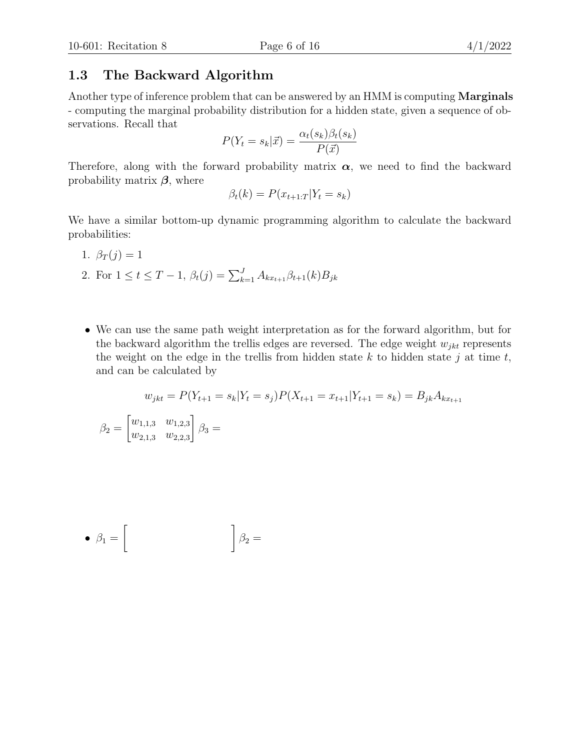#### 1.3 The Backward Algorithm

Another type of inference problem that can be answered by an HMM is computing **Marginals** - computing the marginal probability distribution for a hidden state, given a sequence of observations. Recall that

$$
P(Y_t = s_k | \vec{x}) = \frac{\alpha_t(s_k)\beta_t(s_k)}{P(\vec{x})}
$$

Therefore, along with the forward probability matrix  $\alpha$ , we need to find the backward probability matrix  $\beta$ , where

$$
\beta_t(k) = P(x_{t+1:T} | Y_t = s_k)
$$

We have a similar bottom-up dynamic programming algorithm to calculate the backward probabilities:

1.  $\beta_T(j) = 1$ 

 $\beta_2 =$ 

- 2. For  $1 \le t \le T-1$ ,  $\beta_t(j) = \sum_{k=1}^J A_{kx_{t+1}} \beta_{t+1}(k) B_{jk}$
- We can use the same path weight interpretation as for the forward algorithm, but for the backward algorithm the trellis edges are reversed. The edge weight  $w_{jkt}$  represents the weight on the edge in the trellis from hidden state  $k$  to hidden state  $j$  at time  $t$ , and can be calculated by

$$
w_{jkt} = P(Y_{t+1} = s_k | Y_t = s_j) P(X_{t+1} = x_{t+1} | Y_{t+1} = s_k) = B_{jk} A_{kx_{t+1}}
$$

$$
\begin{bmatrix} w_{1,1,3} & w_{1,2,3} \\ w_{2,1,3} & w_{2,2,3} \end{bmatrix} \beta_3 =
$$

$$
\bullet \ \beta_1 = \left[ \begin{array}{cc} & & \\ & & \end{array} \right] \beta_2 =
$$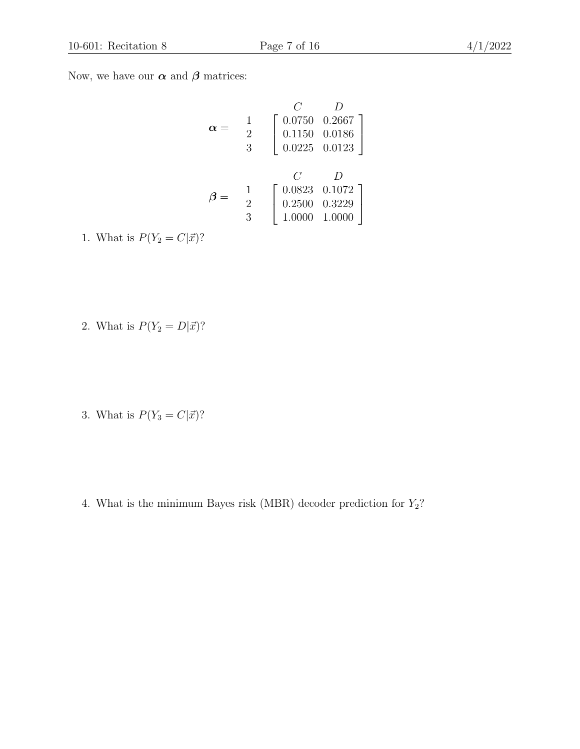Now, we have our  $\alpha$  and  $\beta$  matrices:

$$
\alpha = \begin{array}{c} C & D \\ 1 \\ 2 \\ 3 \end{array} \begin{bmatrix} 0.0750 & 0.2667 \\ 0.1150 & 0.0186 \\ 0.0225 & 0.0123 \end{bmatrix}
$$

$$
\beta = \begin{array}{c} C & D \\ 2 \\ 3 \end{array} \begin{bmatrix} 0.0823 & 0.1072 \\ 0.2500 & 0.3229 \\ 1.0000 & 1.0000 \end{bmatrix}
$$

1. What is  $P(Y_2 = C|\vec{x})$ ?

- 2. What is  $P(Y_2 = D|\vec{x})$ ?
- 3. What is  $P(Y_3 = C|\vec{x})$ ?
- 4. What is the minimum Bayes risk (MBR) decoder prediction for  $Y_2$ ?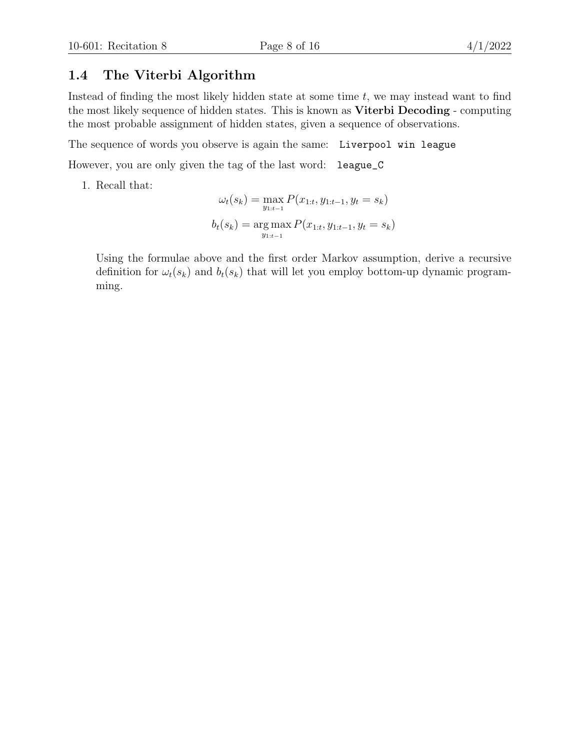### 1.4 The Viterbi Algorithm

Instead of finding the most likely hidden state at some time  $t$ , we may instead want to find the most likely sequence of hidden states. This is known as Viterbi Decoding - computing the most probable assignment of hidden states, given a sequence of observations.

The sequence of words you observe is again the same: Liverpool win league

However, you are only given the tag of the last word: league\_C

1. Recall that:

$$
\omega_t(s_k) = \max_{y_{1:t-1}} P(x_{1:t}, y_{1:t-1}, y_t = s_k)
$$

$$
b_t(s_k) = \arg \max_{y_{1:t-1}} P(x_{1:t}, y_{1:t-1}, y_t = s_k)
$$

Using the formulae above and the first order Markov assumption, derive a recursive definition for  $\omega_t(s_k)$  and  $b_t(s_k)$  that will let you employ bottom-up dynamic programming.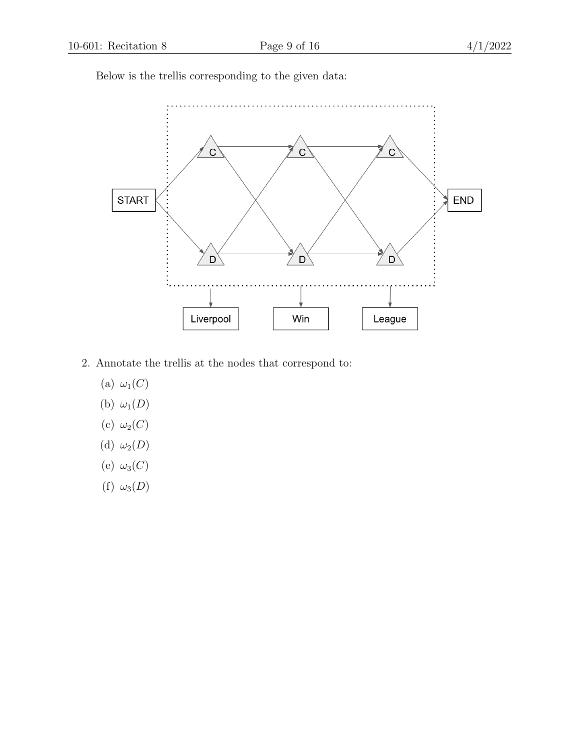$\mathsf{C}$  $C$  $\overline{C}$ END **START**  $D<sub>2</sub>$  $D$  $\mathbf{D}$ Liverpool League Win

Below is the trellis corresponding to the given data:

- 2. Annotate the trellis at the nodes that correspond to:
	- (a)  $\omega_1(C)$
	- (b)  $\omega_1(D)$
	- (c)  $\omega_2(C)$
	- (d)  $\omega_2(D)$
	- (e)  $\omega_3(C)$
	- (f)  $\omega_3(D)$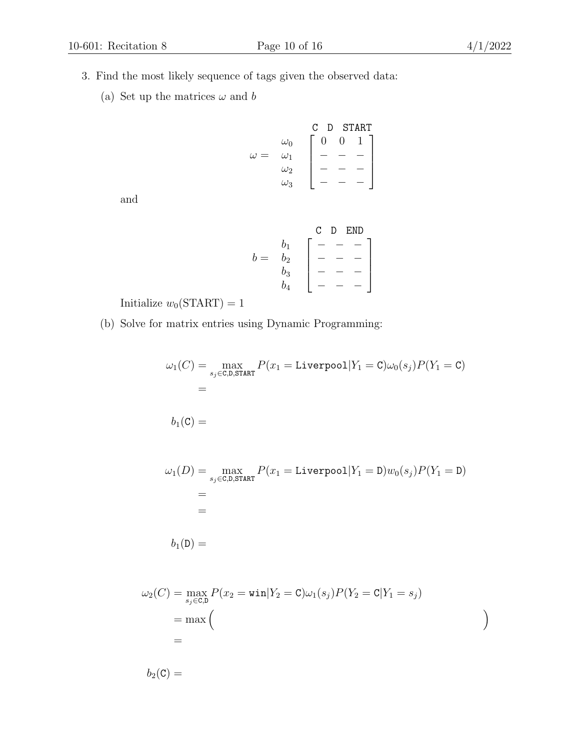- 3. Find the most likely sequence of tags given the observed data:
	- (a) Set up the matrices  $\omega$  and  $b$

$$
\omega = \begin{array}{c} \omega_0 \\ \omega_1 \\ \omega_2 \\ \omega_3 \end{array} \begin{bmatrix} \text{C} & \text{D} & \text{START} \\ 0 & 0 & 1 \\ - & - & - \\ - & - & - \end{bmatrix}
$$

and

$$
b = \begin{array}{c} b_1 \\ b_2 \\ b_3 \\ b_4 \end{array} \begin{bmatrix} C & D & END \\ - & - & - \\ - & - & - \\ - & - & - \end{bmatrix}
$$

Initialize  $w_0(\text{START}) = 1$ 

(b) Solve for matrix entries using Dynamic Programming:

$$
\omega_1(C) = \max_{s_j \in C, D, \text{START}} P(x_1 = \text{Livepool}|Y_1 = C) \omega_0(s_j) P(Y_1 = C)
$$
  
=  

$$
b_1(C) =
$$
  

$$
\omega_1(D) = \max_{s_j \in C, D, \text{START}} P(x_1 = \text{Livepool}|Y_1 = D) w_0(s_j) P(Y_1 = D)
$$
  
=  
=  
=  

$$
b_1(D) =
$$

$$
\omega_2(C) = \max_{s_j \in C, D} P(x_2 = \text{win}|Y_2 = C)\omega_1(s_j)P(Y_2 = C|Y_1 = s_j)
$$
  
= max 
$$
\begin{pmatrix} 1 & 1 & 1 \\ 0 & 1 & 1 \\ 0 & 1 & 1 \end{pmatrix}
$$

 $b_2(\mathsf{C}) =$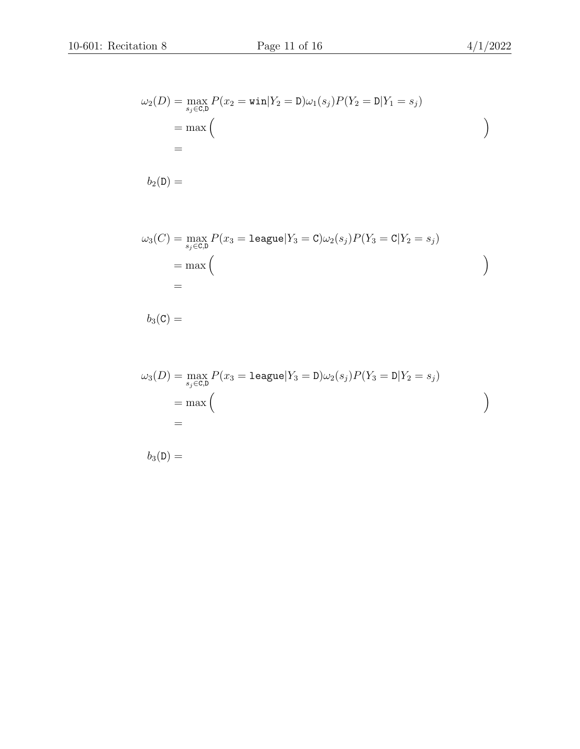ω2(D) = max P(x<sup>2</sup> = win|Y<sup>2</sup> = D)ω1(s<sup>j</sup> )P(Y<sup>2</sup> = D|Y<sup>1</sup> = s<sup>j</sup> ) sj∈C,D = max =

$$
b_2({\tt D}) =
$$

ω3(C) = max sj∈C,D P(x<sup>3</sup> = league|Y<sup>3</sup> = C)ω2(s<sup>j</sup> )P(Y<sup>3</sup> = C|Y<sup>2</sup> = s<sup>j</sup> ) = max =

$$
b_3(\mathtt{C}) =
$$

$$
\omega_3(D) = \max_{s_j \in C, D} P(x_3 = \text{league}|Y_3 = D)\omega_2(s_j)P(Y_3 = D|Y_2 = s_j)
$$
  
= max ( )  
=

 $b_3(D) =$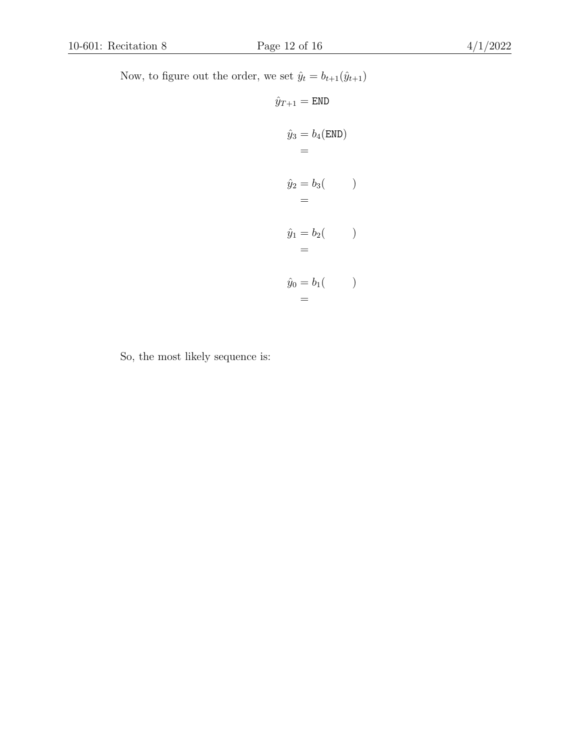Now, to figure out the order, we set  $\hat{y}_t = b_{t+1}(\hat{y}_{t+1})$ 

$$
\hat{y}_{T+1} = \text{END}
$$
\n
$$
\hat{y}_3 = b_4(\text{END})
$$
\n
$$
=
$$
\n
$$
\hat{y}_2 = b_3(\qquad)
$$
\n
$$
=
$$
\n
$$
\hat{y}_1 = b_2(\qquad)
$$
\n
$$
=
$$
\n
$$
\hat{y}_0 = b_1(\qquad)
$$
\n
$$
=
$$

So, the most likely sequence is: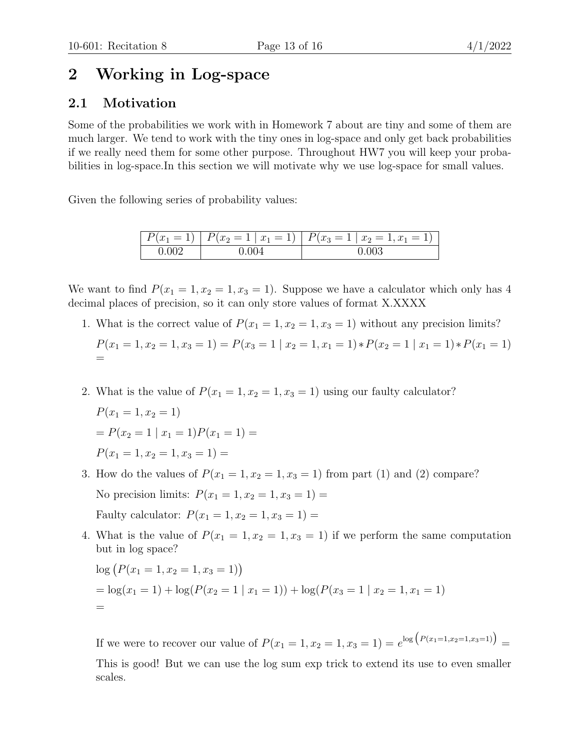## 2 Working in Log-space

### 2.1 Motivation

Some of the probabilities we work with in Homework 7 about are tiny and some of them are much larger. We tend to work with the tiny ones in log-space and only get back probabilities if we really need them for some other purpose. Throughout HW7 you will keep your probabilities in log-space.In this section we will motivate why we use log-space for small values.

Given the following series of probability values:

| $= 11$<br>$x_1$<br>$\mathbf{I}$ | $P(x_2 = 1   x_1 = 1)   P(x_3 = 1)$ | $x_2 = 1, x_1 = 1$ |  |  |  |
|---------------------------------|-------------------------------------|--------------------|--|--|--|
|                                 |                                     |                    |  |  |  |

We want to find  $P(x_1 = 1, x_2 = 1, x_3 = 1)$ . Suppose we have a calculator which only has 4 decimal places of precision, so it can only store values of format X.XXXX

- 1. What is the correct value of  $P(x_1 = 1, x_2 = 1, x_3 = 1)$  without any precision limits?  $P(x_1 = 1, x_2 = 1, x_3 = 1) = P(x_3 = 1 | x_2 = 1, x_1 = 1) * P(x_2 = 1 | x_1 = 1) * P(x_1 = 1)$ =
- 2. What is the value of  $P(x_1 = 1, x_2 = 1, x_3 = 1)$  using our faulty calculator?

$$
P(x_1 = 1, x_2 = 1)
$$
  
=  $P(x_2 = 1 | x_1 = 1)P(x_1 = 1) =$   
 $P(x_1 = 1, x_2 = 1, x_3 = 1) =$ 

- 3. How do the values of  $P(x_1 = 1, x_2 = 1, x_3 = 1)$  from part (1) and (2) compare? No precision limits:  $P(x_1 = 1, x_2 = 1, x_3 = 1) =$ Faulty calculator:  $P(x_1 = 1, x_2 = 1, x_3 = 1) =$
- 4. What is the value of  $P(x_1 = 1, x_2 = 1, x_3 = 1)$  if we perform the same computation but in log space?

$$
log (P(x1 = 1, x2 = 1, x3 = 1))
$$
  
= log(x<sub>1</sub> = 1) + log(P(x<sub>2</sub> = 1 | x<sub>1</sub> = 1)) + log(P(x<sub>3</sub> = 1 | x<sub>2</sub> = 1, x<sub>1</sub> = 1))

If we were to recover our value of  $P(x_1 = 1, x_2 = 1, x_3 = 1) = e^{\log (P(x_1=1, x_2=1, x_3=1))}$ This is good! But we can use the log sum exp trick to extend its use to even smaller scales.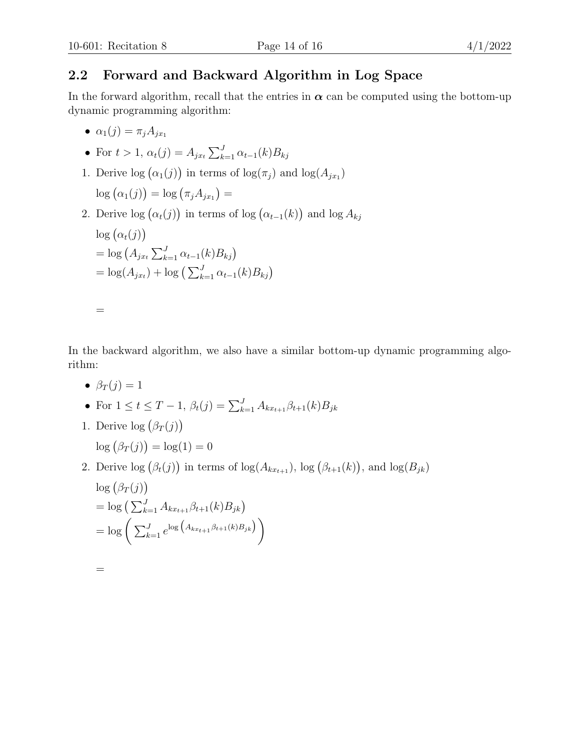### 2.2 Forward and Backward Algorithm in Log Space

In the forward algorithm, recall that the entries in  $\alpha$  can be computed using the bottom-up dynamic programming algorithm:

- $\alpha_1(j) = \pi_i A_{i x_1}$
- For  $t > 1$ ,  $\alpha_t(j) = A_{jx_t} \sum_{k=1}^{J} \alpha_{t-1}(k) B_{kj}$
- 1. Derive  $\log (\alpha_1(j))$  in terms of  $\log(\pi_j)$  and  $\log(A_{jx_1})$  $\log (\alpha_1(j)) = \log (\pi_j A_{jx_1}) =$
- 2. Derive  $log(\alpha_t(j))$  in terms of  $log(\alpha_{t-1}(k))$  and  $log A_{kj}$  $\log(\alpha_t(j))$  $=$  log  $(A_{jx_t} \sum_{k=1}^{J} \alpha_{t-1}(k) B_{kj})$  $= \log(A_{jx_t}) + \log\left(\sum_{k=1}^{J} \alpha_{t-1}(k)B_{kj}\right)$

In the backward algorithm, we also have a similar bottom-up dynamic programming algorithm:

•  $\beta_T(j) = 1$ 

=

- For  $1 \le t \le T-1$ ,  $\beta_t(j) = \sum_{k=1}^J A_{kx_{t+1}} \beta_{t+1}(k) B_{jk}$
- 1. Derive  $log(\beta_T(j))$  $\log (\beta_T(j)) = \log(1) = 0$
- 2. Derive  $\log (\beta_t(j))$  in terms of  $\log(A_{kx_{t+1}})$ ,  $\log (\beta_{t+1}(k))$ , and  $\log(B_{jk})$  $\log (\beta_T(j))$  $=$  log  $\left(\sum_{k=1}^{J} A_{kx_{t+1}} \beta_{t+1}(k) B_{jk}\right)$  $= \log \left( \sum_{k=1}^{J} e^{\log \left( A_{kx_{t+1}} \beta_{t+1}(k) B_{jk} \right)} \right)$

=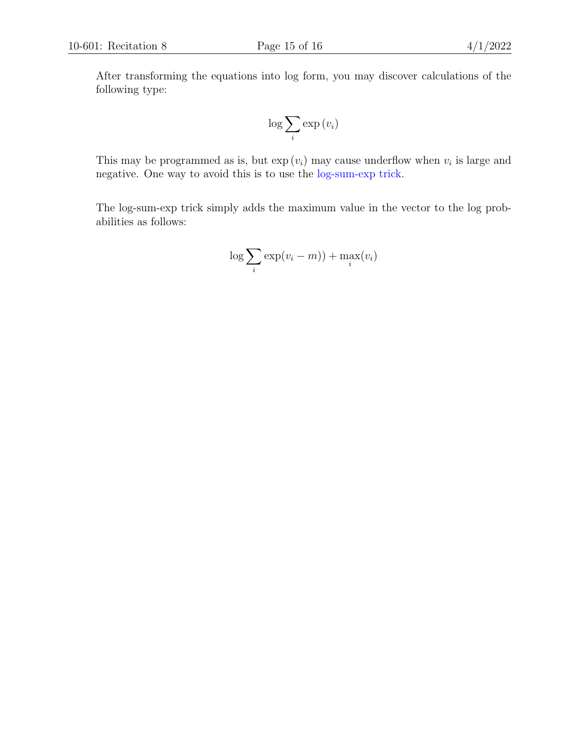After transforming the equations into log form, you may discover calculations of the following type:

$$
\log \sum_{i} \exp(v_i)
$$

This may be programmed as is, but  $\exp(v_i)$  may cause underflow when  $v_i$  is large and negative. One way to avoid this is to use the [log-sum-exp trick.](https://www.xarg.org/2016/06/the-log-sum-exp-trick-in-machine-learning/)

The log-sum-exp trick simply adds the maximum value in the vector to the log probabilities as follows:

$$
\log \sum_{i} \exp(v_i - m)) + \max_{i}(v_i)
$$